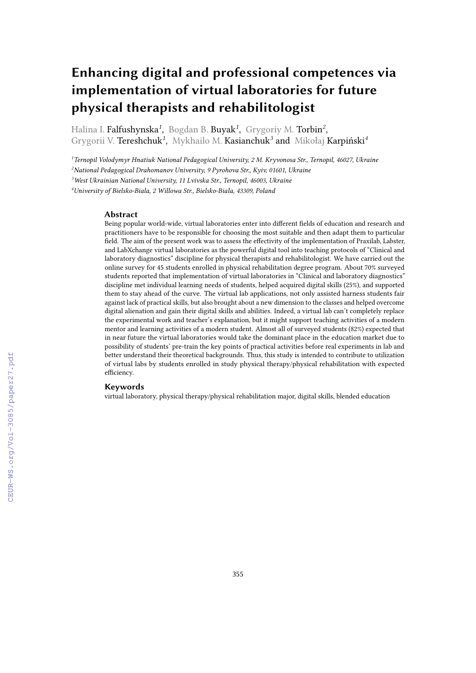# **Enhancing digital and professional competences via implementation of virtual laboratories for future physical therapists and rehabilitologist**

Halina I. **Falfushynska<sup>1</sup>, Bogdan B. Buyak<sup>1</sup>, Grygoriy M. Torbin<sup>2</sup>,** Grygorii V. Tereshchuk*<sup>1</sup>* , Mykhailo M. Kasianchuk*<sup>3</sup>* and Mikołaj Karpiński*<sup>4</sup>*

*<sup>1</sup>Ternopil Volodymyr Hnatiuk National Pedagogical University, 2 M. Kryvonosa Str., Ternopil, 46027, Ukraine*

*<sup>2</sup>National Pedagogical Drahomanov University, 9 Pyrohova Str., Kyiv, 01601, Ukraine*

*<sup>3</sup>West Ukrainian National University, 11 Lvivska Str., Ternopil, 46003, Ukraine*

*<sup>4</sup>University of Bielsko-Biala, 2 Willowa Str., Bielsko-Biala, 43309, Poland*

#### **Abstract**

Being popular world-wide, virtual laboratories enter into different fields of education and research and practitioners have to be responsible for choosing the most suitable and then adapt them to particular field. The aim of the present work was to assess the effectivity of the implementation of Praxilab, Labster, and LabXchange virtual laboratories as the powerful digital tool into teaching protocols of "Clinical and laboratory diagnostics" discipline for physical therapists and rehabilitologist. We have carried out the online survey for 45 students enrolled in physical rehabilitation degree program. About 70% surveyed students reported that implementation of virtual laboratories in "Clinical and laboratory diagnostics" discipline met individual learning needs of students, helped acquired digital skills (25%), and supported them to stay ahead of the curve. The virtual lab applications, not only assisted harness students fair against lack of practical skills, but also brought about a new dimension to the classes and helped overcome digital alienation and gain their digital skills and abilities. Indeed, a virtual lab can't completely replace the experimental work and teacher's explanation, but it might support teaching activities of a modern mentor and learning activities of a modern student. Almost all of surveyed students (82%) expected that in near future the virtual laboratories would take the dominant place in the education market due to possibility of students' pre-train the key points of practical activities before real experiments in lab and better understand their theoretical backgrounds. Thus, this study is intended to contribute to utilization of virtual labs by students enrolled in study physical therapy/physical rehabilitation with expected efficiency.

#### **Keywords**

virtual laboratory, physical therapy/physical rehabilitation major, digital skills, blended education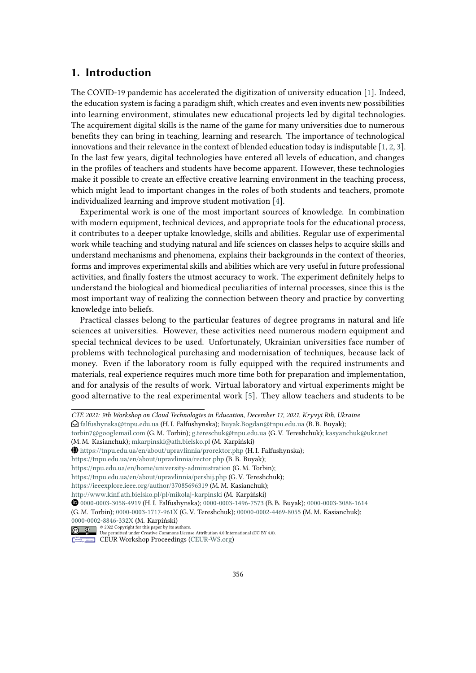#### **1. Introduction**

The COVID-19 pandemic has accelerated the digitization of university education [\[1\]](#page-8-0). Indeed, the education system is facing a paradigm shift, which creates and even invents new possibilities into learning environment, stimulates new educational projects led by digital technologies. The acquirement digital skills is the name of the game for many universities due to numerous benefits they can bring in teaching, learning and research. The importance of technological innovations and their relevance in the context of blended education today is indisputable [\[1,](#page-8-0) [2,](#page-8-1) [3\]](#page-8-2). In the last few years, digital technologies have entered all levels of education, and changes in the profiles of teachers and students have become apparent. However, these technologies make it possible to create an effective creative learning environment in the teaching process, which might lead to important changes in the roles of both students and teachers, promote individualized learning and improve student motivation [\[4\]](#page-8-3).

Experimental work is one of the most important sources of knowledge. In combination with modern equipment, technical devices, and appropriate tools for the educational process, it contributes to a deeper uptake knowledge, skills and abilities. Regular use of experimental work while teaching and studying natural and life sciences on classes helps to acquire skills and understand mechanisms and phenomena, explains their backgrounds in the context of theories, forms and improves experimental skills and abilities which are very useful in future professional activities, and finally fosters the utmost accuracy to work. The experiment definitely helps to understand the biological and biomedical peculiarities of internal processes, since this is the most important way of realizing the connection between theory and practice by converting knowledge into beliefs.

Practical classes belong to the particular features of degree programs in natural and life sciences at universities. However, these activities need numerous modern equipment and special technical devices to be used. Unfortunately, Ukrainian universities face number of problems with technological purchasing and modernisation of techniques, because lack of money. Even if the laboratory room is fully equipped with the required instruments and materials, real experience requires much more time both for preparation and implementation, and for analysis of the results of work. Virtual laboratory and virtual experiments might be good alternative to the real experimental work [\[5\]](#page-8-4). They allow teachers and students to be

*CTE 2021: 9th Workshop on Cloud Technologies in Education, December 17, 2021, Kryvyi Rih, Ukraine*

 $\bigcirc$  [falfushynska@tnpu.edu.ua](mailto:falfushynska@tnpu.edu.ua) (H. I. Falfushynska); [Buyak.Bogdan@tnpu.edu.ua](mailto:Buyak.Bogdan@tnpu.edu.ua) (B. B. Buyak);

[torbin7@googlemail.com](mailto:torbin7@googlemail.com) (G. M. Torbin); [g.tereschuk@tnpu.edu.ua](mailto:g.tereschuk@tnpu.edu.ua) (G. V. Tereshchuk); [kasyanchuk@ukr.net](mailto:kasyanchuk@ukr.net)

<sup>(</sup>M. M. Kasianchuk); [mkarpinski@ath.bielsko.pl](mailto:mkarpinski@ath.bielsko.pl) (M. Karpiński)

GLOBE <https://tnpu.edu.ua/en/about/upravlinnia/prorektor.php> (H. I. Falfushynska);

<https://tnpu.edu.ua/en/about/upravlinnia/rector.php> (B. B. Buyak);

<https://npu.edu.ua/en/home/university-administration> (G. M. Torbin);

<https://tnpu.edu.ua/en/about/upravlinnia/pershij.php> (G. V. Tereshchuk);

<https://ieeexplore.ieee.org/author/37085696319> (M. M. Kasianchuk);

<http://www.kinf.ath.bielsko.pl/pl/mikolaj-karpinski> (M. Karpiński)

Orcid [0000-0003-3058-4919](https://orcid.org/0000-0003-3058-4919) (H. I. Falfushynska); [0000-0003-1496-7573](https://orcid.org/0000-0003-1496-7573) (B. B. Buyak); [0000-0003-3088-1614](https://orcid.org/0000-0003-3088-1614) (G. M. Torbin); [0000-0003-1717-961X](https://orcid.org/0000-0003-1717-961X) (G. V. Tereshchuk); [00000-0002-4469-8055](https://orcid.org/00000-0002-4469-8055) (M. M. Kasianchuk); [0000-0002-8846-332X](https://orcid.org/0000-0002-8846-332X) (M. Karpiński)

<sup>© 2022</sup> Copyright for this paper by its authors. Use permitted under Creative Commons License Attribution 4.0 International (CC BY 4.0).

CEUR Workshop [Proceedings](http://ceur-ws.org) [\(CEUR-WS.org\)](http://ceur-ws.org)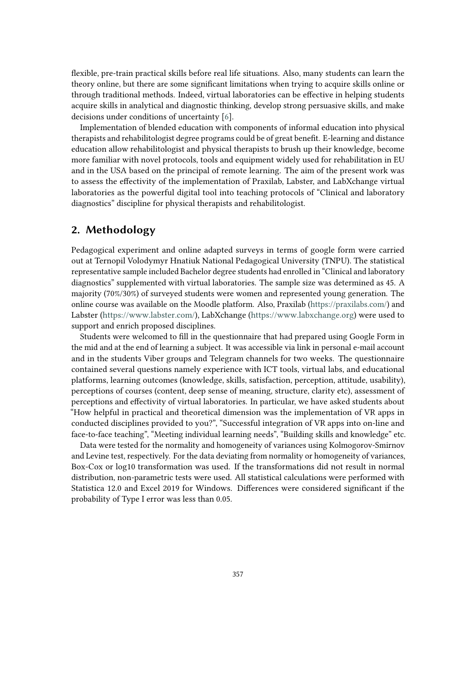flexible, pre-train practical skills before real life situations. Also, many students can learn the theory online, but there are some significant limitations when trying to acquire skills online or through traditional methods. Indeed, virtual laboratories can be effective in helping students acquire skills in analytical and diagnostic thinking, develop strong persuasive skills, and make decisions under conditions of uncertainty [\[6\]](#page-8-5).

Implementation of blended education with components of informal education into physical therapists and rehabilitologist degree programs could be of great benefit. E-learning and distance education allow rehabilitologist and physical therapists to brush up their knowledge, become more familiar with novel protocols, tools and equipment widely used for rehabilitation in EU and in the USA based on the principal of remote learning. The aim of the present work was to assess the effectivity of the implementation of Praxilab, Labster, and LabXchange virtual laboratories as the powerful digital tool into teaching protocols of "Clinical and laboratory diagnostics" discipline for physical therapists and rehabilitologist.

## **2. Methodology**

Pedagogical experiment and online adapted surveys in terms of google form were carried out at Ternopil Volodymyr Hnatiuk National Pedagogical University (TNPU). The statistical representative sample included Bachelor degree students had enrolled in "Clinical and laboratory diagnostics" supplemented with virtual laboratories. The sample size was determined as 45. A majority (70%/30%) of surveyed students were women and represented young generation. The online course was available on the Moodle platform. Also, Praxilab [\(https://praxilabs.com/\)](https://praxilabs.com/) and Labster [\(https://www.labster.com/\)](https://www.labster.com/), LabXchange [\(https://www.labxchange.org\)](https://www.labxchange.org) were used to support and enrich proposed disciplines.

Students were welcomed to fill in the questionnaire that had prepared using Google Form in the mid and at the end of learning a subject. It was accessible via link in personal e-mail account and in the students Viber groups and Telegram channels for two weeks. The questionnaire contained several questions namely experience with ICT tools, virtual labs, and educational platforms, learning outcomes (knowledge, skills, satisfaction, perception, attitude, usability), perceptions of courses (content, deep sense of meaning, structure, clarity etc), assessment of perceptions and effectivity of virtual laboratories. In particular, we have asked students about "How helpful in practical and theoretical dimension was the implementation of VR apps in conducted disciplines provided to you?", "Successful integration of VR apps into on-line and face-to-face teaching", "Meeting individual learning needs", "Building skills and knowledge" etc.

Data were tested for the normality and homogeneity of variances using Kolmogorov-Smirnov and Levine test, respectively. For the data deviating from normality or homogeneity of variances, Box-Cox or log10 transformation was used. If the transformations did not result in normal distribution, non-parametric tests were used. All statistical calculations were performed with Statistica 12.0 and Excel 2019 for Windows. Differences were considered significant if the probability of Type I error was less than 0.05.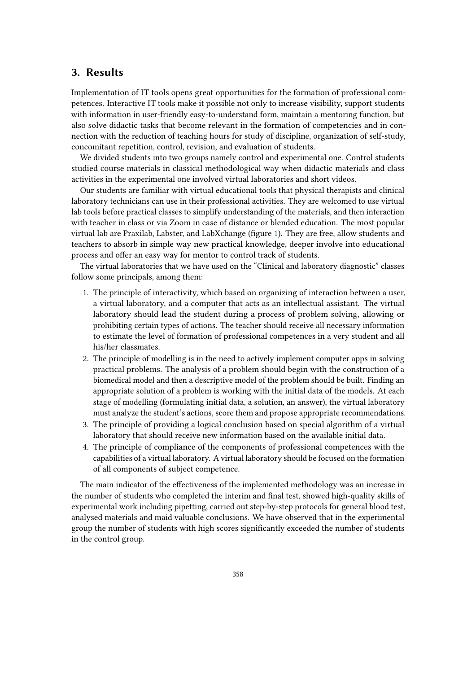#### **3. Results**

Implementation of IT tools opens great opportunities for the formation of professional competences. Interactive IT tools make it possible not only to increase visibility, support students with information in user-friendly easy-to-understand form, maintain a mentoring function, but also solve didactic tasks that become relevant in the formation of competencies and in connection with the reduction of teaching hours for study of discipline, organization of self-study, concomitant repetition, control, revision, and evaluation of students.

We divided students into two groups namely control and experimental one. Control students studied course materials in classical methodological way when didactic materials and class activities in the experimental one involved virtual laboratories and short videos.

Our students are familiar with virtual educational tools that physical therapists and clinical laboratory technicians can use in their professional activities. They are welcomed to use virtual lab tools before practical classes to simplify understanding of the materials, and then interaction with teacher in class or via Zoom in case of distance or blended education. The most popular virtual lab are Praxilab, Labster, and LabXchange (figure [1\)](#page-4-0). They are free, allow students and teachers to absorb in simple way new practical knowledge, deeper involve into educational process and offer an easy way for mentor to control track of students.

The virtual laboratories that we have used on the "Clinical and laboratory diagnostic" classes follow some principals, among them:

- 1. The principle of interactivity, which based on organizing of interaction between a user, a virtual laboratory, and a computer that acts as an intellectual assistant. The virtual laboratory should lead the student during a process of problem solving, allowing or prohibiting certain types of actions. The teacher should receive all necessary information to estimate the level of formation of professional competences in a very student and all his/her classmates.
- 2. The principle of modelling is in the need to actively implement computer apps in solving practical problems. The analysis of a problem should begin with the construction of a biomedical model and then a descriptive model of the problem should be built. Finding an appropriate solution of a problem is working with the initial data of the models. At each stage of modelling (formulating initial data, a solution, an answer), the virtual laboratory must analyze the student's actions, score them and propose appropriate recommendations.
- 3. The principle of providing a logical conclusion based on special algorithm of a virtual laboratory that should receive new information based on the available initial data.
- 4. The principle of compliance of the components of professional competences with the capabilities of a virtual laboratory. A virtual laboratory should be focused on the formation of all components of subject competence.

The main indicator of the effectiveness of the implemented methodology was an increase in the number of students who completed the interim and final test, showed high-quality skills of experimental work including pipetting, carried out step-by-step protocols for general blood test, analysed materials and maid valuable conclusions. We have observed that in the experimental group the number of students with high scores significantly exceeded the number of students in the control group.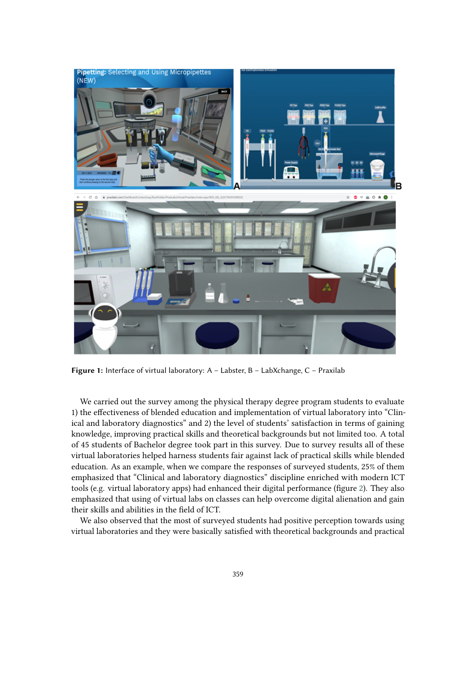

**Figure 1:** Interface of virtual laboratory: A – Labster, B – LabXchange, C – Praxilab

<span id="page-4-0"></span>We carried out the survey among the physical therapy degree program students to evaluate 1) the effectiveness of blended education and implementation of virtual laboratory into "Clinical and laboratory diagnostics" and 2) the level of students' satisfaction in terms of gaining knowledge, improving practical skills and theoretical backgrounds but not limited too. A total of 45 students of Bachelor degree took part in this survey. Due to survey results all of these virtual laboratories helped harness students fair against lack of practical skills while blended education. As an example, when we compare the responses of surveyed students, 25% of them emphasized that "Clinical and laboratory diagnostics" discipline enriched with modern ICT tools (e.g. virtual laboratory apps) had enhanced their digital performance (figure [2\)](#page-5-0). They also emphasized that using of virtual labs on classes can help overcome digital alienation and gain their skills and abilities in the field of ICT.

We also observed that the most of surveyed students had positive perception towards using virtual laboratories and they were basically satisfied with theoretical backgrounds and practical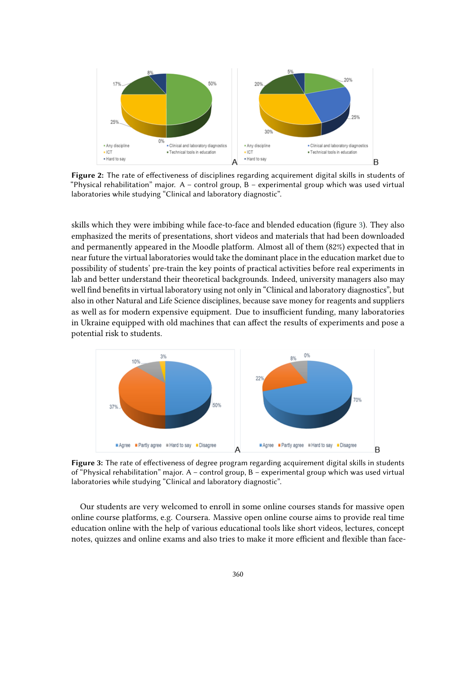

<span id="page-5-0"></span>**Figure 2:** The rate of effectiveness of disciplines regarding acquirement digital skills in students of "Physical rehabilitation" major. A – control group, B – experimental group which was used virtual laboratories while studying "Clinical and laboratory diagnostic".

skills which they were imbibing while face-to-face and blended education (figure [3\)](#page-5-1). They also emphasized the merits of presentations, short videos and materials that had been downloaded and permanently appeared in the Moodle platform. Almost all of them (82%) expected that in near future the virtual laboratories would take the dominant place in the education market due to possibility of students' pre-train the key points of practical activities before real experiments in lab and better understand their theoretical backgrounds. Indeed, university managers also may well find benefits in virtual laboratory using not only in "Clinical and laboratory diagnostics", but also in other Natural and Life Science disciplines, because save money for reagents and suppliers as well as for modern expensive equipment. Due to insufficient funding, many laboratories in Ukraine equipped with old machines that can affect the results of experiments and pose a potential risk to students.



<span id="page-5-1"></span>**Figure 3:** The rate of effectiveness of degree program regarding acquirement digital skills in students of "Physical rehabilitation" major. A – control group, B – experimental group which was used virtual laboratories while studying "Clinical and laboratory diagnostic".

Our students are very welcomed to enroll in some online courses stands for massive open online course platforms, e.g. Coursera. Massive open online course aims to provide real time education online with the help of various educational tools like short videos, lectures, concept notes, quizzes and online exams and also tries to make it more efficient and flexible than face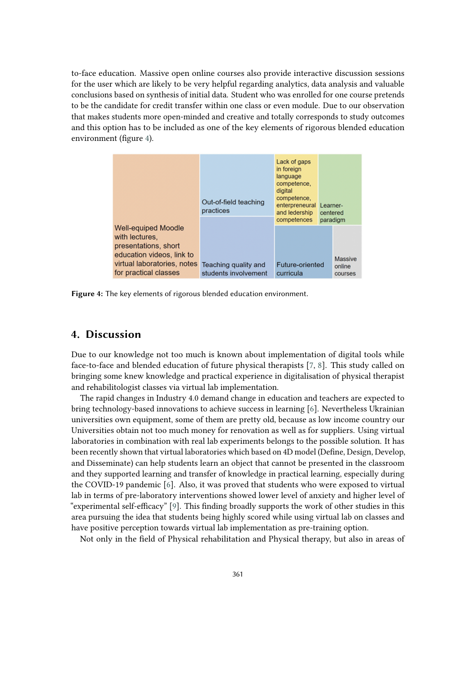to-face education. Massive open online courses also provide interactive discussion sessions for the user which are likely to be very helpful regarding analytics, data analysis and valuable conclusions based on synthesis of initial data. Student who was enrolled for one course pretends to be the candidate for credit transfer within one class or even module. Due to our observation that makes students more open-minded and creative and totally corresponds to study outcomes and this option has to be included as one of the key elements of rigorous blended education environment (figure [4\)](#page-6-0).

|                                                                                                                                                           | Out-of-field teaching<br>practices           | Lack of gaps<br>in foreign<br>language<br>competence.<br>digital<br>competence,<br>enterpreneural<br>and ledership<br>competences | Learner-<br>centered<br>paradigm<br>Massive<br>online<br>courses |  |
|-----------------------------------------------------------------------------------------------------------------------------------------------------------|----------------------------------------------|-----------------------------------------------------------------------------------------------------------------------------------|------------------------------------------------------------------|--|
| <b>Well-equiped Moodle</b><br>with lectures.<br>presentations, short<br>education videos, link to<br>virtual laboratories, notes<br>for practical classes | Teaching quality and<br>students involvement | Future-oriented<br>curricula                                                                                                      |                                                                  |  |

<span id="page-6-0"></span>**Figure 4:** The key elements of rigorous blended education environment.

#### **4. Discussion**

Due to our knowledge not too much is known about implementation of digital tools while face-to-face and blended education of future physical therapists [\[7,](#page-8-6) [8\]](#page-8-7). This study called on bringing some knew knowledge and practical experience in digitalisation of physical therapist and rehabilitologist classes via virtual lab implementation.

The rapid changes in Industry 4.0 demand change in education and teachers are expected to bring technology-based innovations to achieve success in learning [\[6\]](#page-8-5). Nevertheless Ukrainian universities own equipment, some of them are pretty old, because as low income country our Universities obtain not too much money for renovation as well as for suppliers. Using virtual laboratories in combination with real lab experiments belongs to the possible solution. It has been recently shown that virtual laboratories which based on 4D model (Define, Design, Develop, and Disseminate) can help students learn an object that cannot be presented in the classroom and they supported learning and transfer of knowledge in practical learning, especially during the COVID-19 pandemic [\[6\]](#page-8-5). Also, it was proved that students who were exposed to virtual lab in terms of pre-laboratory interventions showed lower level of anxiety and higher level of "experimental self-efficacy" [\[9\]](#page-8-8). This finding broadly supports the work of other studies in this area pursuing the idea that students being highly scored while using virtual lab on classes and have positive perception towards virtual lab implementation as pre-training option.

Not only in the field of Physical rehabilitation and Physical therapy, but also in areas of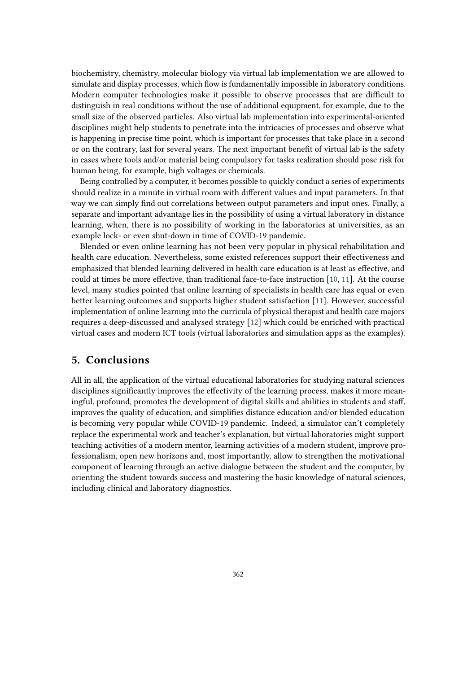biochemistry, chemistry, molecular biology via virtual lab implementation we are allowed to simulate and display processes, which flow is fundamentally impossible in laboratory conditions. Modern computer technologies make it possible to observe processes that are difficult to distinguish in real conditions without the use of additional equipment, for example, due to the small size of the observed particles. Also virtual lab implementation into experimental-oriented disciplines might help students to penetrate into the intricacies of processes and observe what is happening in precise time point, which is important for processes that take place in a second or on the contrary, last for several years. The next important benefit of virtual lab is the safety in cases where tools and/or material being compulsory for tasks realization should pose risk for human being, for example, high voltages or chemicals.

Being controlled by a computer, it becomes possible to quickly conduct a series of experiments should realize in a minute in virtual room with different values and input parameters. In that way we can simply find out correlations between output parameters and input ones. Finally, a separate and important advantage lies in the possibility of using a virtual laboratory in distance learning, when, there is no possibility of working in the laboratories at universities, as an example lock- or even shut-down in time of COVID-19 pandemic.

Blended or even online learning has not been very popular in physical rehabilitation and health care education. Nevertheless, some existed references support their effectiveness and emphasized that blended learning delivered in health care education is at least as effective, and could at times be more effective, than traditional face-to-face instruction [\[10,](#page-9-0) [11\]](#page-9-1). At the course level, many studies pointed that online learning of specialists in health care has equal or even better learning outcomes and supports higher student satisfaction [\[11\]](#page-9-1). However, successful implementation of online learning into the curricula of physical therapist and health care majors requires a deep-discussed and analysed strategy [\[12\]](#page-9-2) which could be enriched with practical virtual cases and modern ICT tools (virtual laboratories and simulation apps as the examples).

#### **5. Conclusions**

All in all, the application of the virtual educational laboratories for studying natural sciences disciplines significantly improves the effectivity of the learning process, makes it more meaningful, profound, promotes the development of digital skills and abilities in students and staff, improves the quality of education, and simplifies distance education and/or blended education is becoming very popular while COVID-19 pandemic. Indeed, a simulator can't completely replace the experimental work and teacher's explanation, but virtual laboratories might support teaching activities of a modern mentor, learning activities of a modern student, improve professionalism, open new horizons and, most importantly, allow to strengthen the motivational component of learning through an active dialogue between the student and the computer, by orienting the student towards success and mastering the basic knowledge of natural sciences, including clinical and laboratory diagnostics.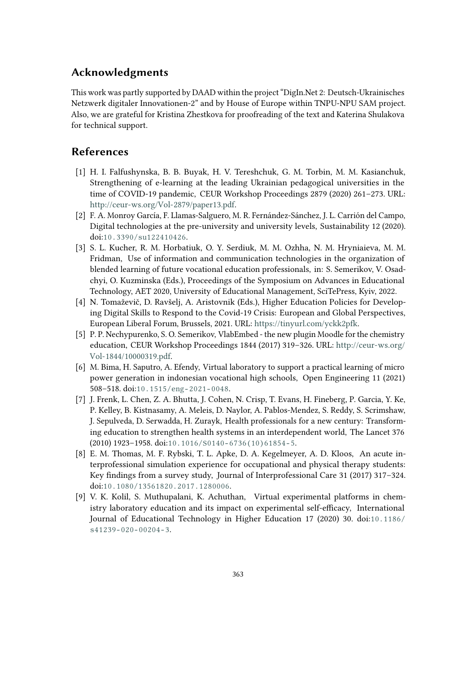## **Acknowledgments**

This work was partly supported by DAAD within the project "DigIn.Net 2: Deutsch-Ukrainisches Netzwerk digitaler Innovationen-2" and by House of Europe within TNPU-NPU SAM project. Also, we are grateful for Kristina Zhestkova for proofreading of the text and Katerina Shulakova for technical support.

#### **References**

- <span id="page-8-0"></span>[1] H. I. Falfushynska, B. B. Buyak, H. V. Tereshchuk, G. M. Torbin, M. M. Kasianchuk, Strengthening of e-learning at the leading Ukrainian pedagogical universities in the time of COVID-19 pandemic, CEUR Workshop Proceedings 2879 (2020) 261–273. URL: [http://ceur-ws.org/Vol-2879/paper13.pdf.](http://ceur-ws.org/Vol-2879/paper13.pdf)
- <span id="page-8-1"></span>[2] F. A. Monroy García, F. Llamas-Salguero, M. R. Fernández-Sánchez, J. L. Carrión del Campo, Digital technologies at the pre-university and university levels, Sustainability 12 (2020). doi:[10.3390/su122410426](http://dx.doi.org/10.3390/su122410426).
- <span id="page-8-2"></span>[3] S. L. Kucher, R. M. Horbatiuk, O. Y. Serdiuk, M. M. Ozhha, N. M. Hryniaieva, M. M. Fridman, Use of information and communication technologies in the organization of blended learning of future vocational education professionals, in: S. Semerikov, V. Osadchyi, O. Kuzminska (Eds.), Proceedings of the Symposium on Advances in Educational Technology, AET 2020, University of Educational Management, SciTePress, Kyiv, 2022.
- <span id="page-8-3"></span>[4] N. Tomaževič, D. Ravšelj, A. Aristovnik (Eds.), Higher Education Policies for Developing Digital Skills to Respond to the Covid-19 Crisis: European and Global Perspectives, European Liberal Forum, Brussels, 2021. URL: [https://tinyurl.com/yckk2pfk.](https://tinyurl.com/yckk2pfk)
- <span id="page-8-4"></span>[5] P. P. Nechypurenko, S. O. Semerikov, VlabEmbed - the new plugin Moodle for the chemistry education, CEUR Workshop Proceedings 1844 (2017) 319–326. URL: [http://ceur-ws.org/](http://ceur-ws.org/Vol-1844/10000319.pdf) [Vol-1844/10000319.pdf.](http://ceur-ws.org/Vol-1844/10000319.pdf)
- <span id="page-8-5"></span>[6] M. Bima, H. Saputro, A. Efendy, Virtual laboratory to support a practical learning of micro power generation in indonesian vocational high schools, Open Engineering 11 (2021) 508–518. doi:[10.1515/eng- 2021- 0048](http://dx.doi.org/10.1515/eng-2021-0048).
- <span id="page-8-6"></span>[7] J. Frenk, L. Chen, Z. A. Bhutta, J. Cohen, N. Crisp, T. Evans, H. Fineberg, P. Garcia, Y. Ke, P. Kelley, B. Kistnasamy, A. Meleis, D. Naylor, A. Pablos-Mendez, S. Reddy, S. Scrimshaw, J. Sepulveda, D. Serwadda, H. Zurayk, Health professionals for a new century: Transforming education to strengthen health systems in an interdependent world, The Lancet 376 (2010) 1923–1958. doi:[10.1016/S0140- 6736\(10\)61854- 5](http://dx.doi.org/10.1016/S0140-6736(10)61854-5).
- <span id="page-8-7"></span>[8] E. M. Thomas, M. F. Rybski, T. L. Apke, D. A. Kegelmeyer, A. D. Kloos, An acute interprofessional simulation experience for occupational and physical therapy students: Key findings from a survey study, Journal of Interprofessional Care 31 (2017) 317–324. doi:[10.1080/13561820.2017.1280006](http://dx.doi.org/10.1080/13561820.2017.1280006).
- <span id="page-8-8"></span>[9] V. K. Kolil, S. Muthupalani, K. Achuthan, Virtual experimental platforms in chemistry laboratory education and its impact on experimental self-efficacy, International Journal of Educational Technology in Higher Education 17 (2020) 30. doi:[10.1186/](http://dx.doi.org/10.1186/s41239-020-00204-3) [s41239- 020- 00204- 3](http://dx.doi.org/10.1186/s41239-020-00204-3).